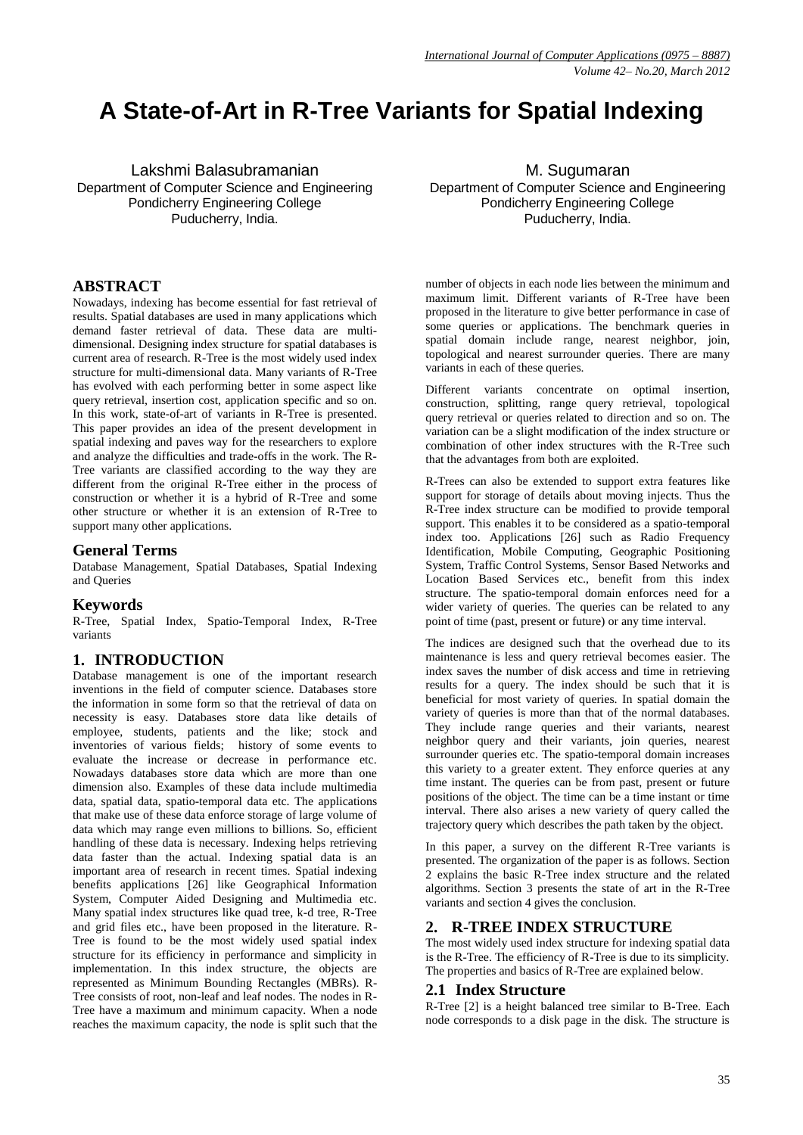# **A State-of-Art in R-Tree Variants for Spatial Indexing**

Lakshmi Balasubramanian Department of Computer Science and Engineering Pondicherry Engineering College Puducherry, India.

### **ABSTRACT**

Nowadays, indexing has become essential for fast retrieval of results. Spatial databases are used in many applications which demand faster retrieval of data. These data are multidimensional. Designing index structure for spatial databases is current area of research. R-Tree is the most widely used index structure for multi-dimensional data. Many variants of R-Tree has evolved with each performing better in some aspect like query retrieval, insertion cost, application specific and so on. In this work, state-of-art of variants in R-Tree is presented. This paper provides an idea of the present development in spatial indexing and paves way for the researchers to explore and analyze the difficulties and trade-offs in the work. The R-Tree variants are classified according to the way they are different from the original R-Tree either in the process of construction or whether it is a hybrid of R-Tree and some other structure or whether it is an extension of R-Tree to support many other applications.

### **General Terms**

Database Management, Spatial Databases, Spatial Indexing and Queries

### **Keywords**

R-Tree, Spatial Index, Spatio-Temporal Index, R-Tree variants

### **1. INTRODUCTION**

Database management is one of the important research inventions in the field of computer science. Databases store the information in some form so that the retrieval of data on necessity is easy. Databases store data like details of employee, students, patients and the like; stock and inventories of various fields; history of some events to evaluate the increase or decrease in performance etc. Nowadays databases store data which are more than one dimension also. Examples of these data include multimedia data, spatial data, spatio-temporal data etc. The applications that make use of these data enforce storage of large volume of data which may range even millions to billions. So, efficient handling of these data is necessary. Indexing helps retrieving data faster than the actual. Indexing spatial data is an important area of research in recent times. Spatial indexing benefits applications [26] like Geographical Information System, Computer Aided Designing and Multimedia etc. Many spatial index structures like quad tree, k-d tree, R-Tree and grid files etc., have been proposed in the literature. R-Tree is found to be the most widely used spatial index structure for its efficiency in performance and simplicity in implementation. In this index structure, the objects are represented as Minimum Bounding Rectangles (MBRs). R-Tree consists of root, non-leaf and leaf nodes. The nodes in R-Tree have a maximum and minimum capacity. When a node reaches the maximum capacity, the node is split such that the

M. Sugumaran Department of Computer Science and Engineering Pondicherry Engineering College Puducherry, India.

number of objects in each node lies between the minimum and maximum limit. Different variants of R-Tree have been proposed in the literature to give better performance in case of some queries or applications. The benchmark queries in spatial domain include range, nearest neighbor, join, topological and nearest surrounder queries. There are many variants in each of these queries.

Different variants concentrate on optimal insertion, construction, splitting, range query retrieval, topological query retrieval or queries related to direction and so on. The variation can be a slight modification of the index structure or combination of other index structures with the R-Tree such that the advantages from both are exploited.

R-Trees can also be extended to support extra features like support for storage of details about moving injects. Thus the R-Tree index structure can be modified to provide temporal support. This enables it to be considered as a spatio-temporal index too. Applications [26] such as Radio Frequency Identification, Mobile Computing, Geographic Positioning System, Traffic Control Systems, Sensor Based Networks and Location Based Services etc., benefit from this index structure. The spatio-temporal domain enforces need for a wider variety of queries. The queries can be related to any point of time (past, present or future) or any time interval.

The indices are designed such that the overhead due to its maintenance is less and query retrieval becomes easier. The index saves the number of disk access and time in retrieving results for a query. The index should be such that it is beneficial for most variety of queries. In spatial domain the variety of queries is more than that of the normal databases. They include range queries and their variants, nearest neighbor query and their variants, join queries, nearest surrounder queries etc. The spatio-temporal domain increases this variety to a greater extent. They enforce queries at any time instant. The queries can be from past, present or future positions of the object. The time can be a time instant or time interval. There also arises a new variety of query called the trajectory query which describes the path taken by the object.

In this paper, a survey on the different R-Tree variants is presented. The organization of the paper is as follows. Section 2 explains the basic R-Tree index structure and the related algorithms. Section 3 presents the state of art in the R-Tree variants and section 4 gives the conclusion.

#### **2. R-TREE INDEX STRUCTURE**

The most widely used index structure for indexing spatial data is the R-Tree. The efficiency of R-Tree is due to its simplicity. The properties and basics of R-Tree are explained below.

#### **2.1 Index Structure**

R-Tree [2] is a height balanced tree similar to B-Tree. Each node corresponds to a disk page in the disk. The structure is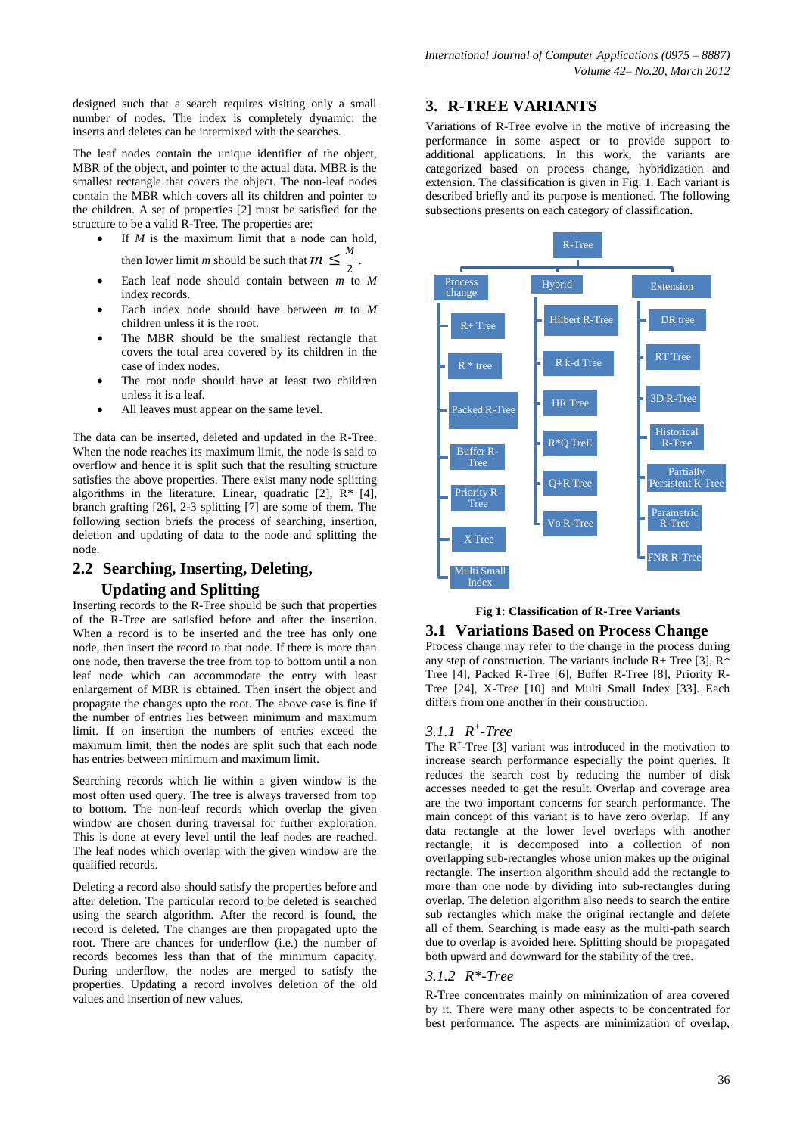designed such that a search requires visiting only a small number of nodes. The index is completely dynamic: the inserts and deletes can be intermixed with the searches.

The leaf nodes contain the unique identifier of the object, MBR of the object, and pointer to the actual data. MBR is the smallest rectangle that covers the object. The non-leaf nodes contain the MBR which covers all its children and pointer to the children. A set of properties [2] must be satisfied for the structure to be a valid R-Tree. The properties are:

If *M* is the maximum limit that a node can hold, then lower limit *m* should be such that  $m \leq \frac{M}{2}$ .

2

- Each leaf node should contain between *m* to *M* index records.
- Each index node should have between *m* to *M* children unless it is the root.
- The MBR should be the smallest rectangle that covers the total area covered by its children in the case of index nodes.
- The root node should have at least two children unless it is a leaf.
- All leaves must appear on the same level.

The data can be inserted, deleted and updated in the R-Tree. When the node reaches its maximum limit, the node is said to overflow and hence it is split such that the resulting structure satisfies the above properties. There exist many node splitting algorithms in the literature. Linear, quadratic [2],  $\overline{R}$ <sup>\*</sup> [4], branch grafting [26], 2-3 splitting [7] are some of them. The following section briefs the process of searching, insertion, deletion and updating of data to the node and splitting the node.

### **2.2 Searching, Inserting, Deleting,**

### **Updating and Splitting**

Inserting records to the R-Tree should be such that properties of the R-Tree are satisfied before and after the insertion. When a record is to be inserted and the tree has only one node, then insert the record to that node. If there is more than one node, then traverse the tree from top to bottom until a non leaf node which can accommodate the entry with least enlargement of MBR is obtained. Then insert the object and propagate the changes upto the root. The above case is fine if the number of entries lies between minimum and maximum limit. If on insertion the numbers of entries exceed the maximum limit, then the nodes are split such that each node has entries between minimum and maximum limit.

Searching records which lie within a given window is the most often used query. The tree is always traversed from top to bottom. The non-leaf records which overlap the given window are chosen during traversal for further exploration. This is done at every level until the leaf nodes are reached. The leaf nodes which overlap with the given window are the qualified records.

Deleting a record also should satisfy the properties before and after deletion. The particular record to be deleted is searched using the search algorithm. After the record is found, the record is deleted. The changes are then propagated upto the root. There are chances for underflow (i.e.) the number of records becomes less than that of the minimum capacity. During underflow, the nodes are merged to satisfy the properties. Updating a record involves deletion of the old values and insertion of new values.

### **3. R-TREE VARIANTS**

Variations of R-Tree evolve in the motive of increasing the performance in some aspect or to provide support to additional applications. In this work, the variants are categorized based on process change, hybridization and extension. The classification is given in Fig. 1. Each variant is described briefly and its purpose is mentioned. The following subsections presents on each category of classification.



## **Fig 1: Classification of R-Tree Variants**

### **3.1 Variations Based on Process Change**

Process change may refer to the change in the process during any step of construction. The variants include  $\overline{R}$  + Tree [3],  $\overline{R}$ <sup>\*</sup> Tree [4], Packed R-Tree [6], Buffer R-Tree [8], Priority R-Tree [24], X-Tree [10] and Multi Small Index [33]. Each differs from one another in their construction.

### *3.1.1 R + -Tree*

The  $R^+$ -Tree [3] variant was introduced in the motivation to increase search performance especially the point queries. It reduces the search cost by reducing the number of disk accesses needed to get the result. Overlap and coverage area are the two important concerns for search performance. The main concept of this variant is to have zero overlap. If any data rectangle at the lower level overlaps with another rectangle, it is decomposed into a collection of non overlapping sub-rectangles whose union makes up the original rectangle. The insertion algorithm should add the rectangle to more than one node by dividing into sub-rectangles during overlap. The deletion algorithm also needs to search the entire sub rectangles which make the original rectangle and delete all of them. Searching is made easy as the multi-path search due to overlap is avoided here. Splitting should be propagated both upward and downward for the stability of the tree.

### *3.1.2 R\*-Tree*

R-Tree concentrates mainly on minimization of area covered by it. There were many other aspects to be concentrated for best performance. The aspects are minimization of overlap,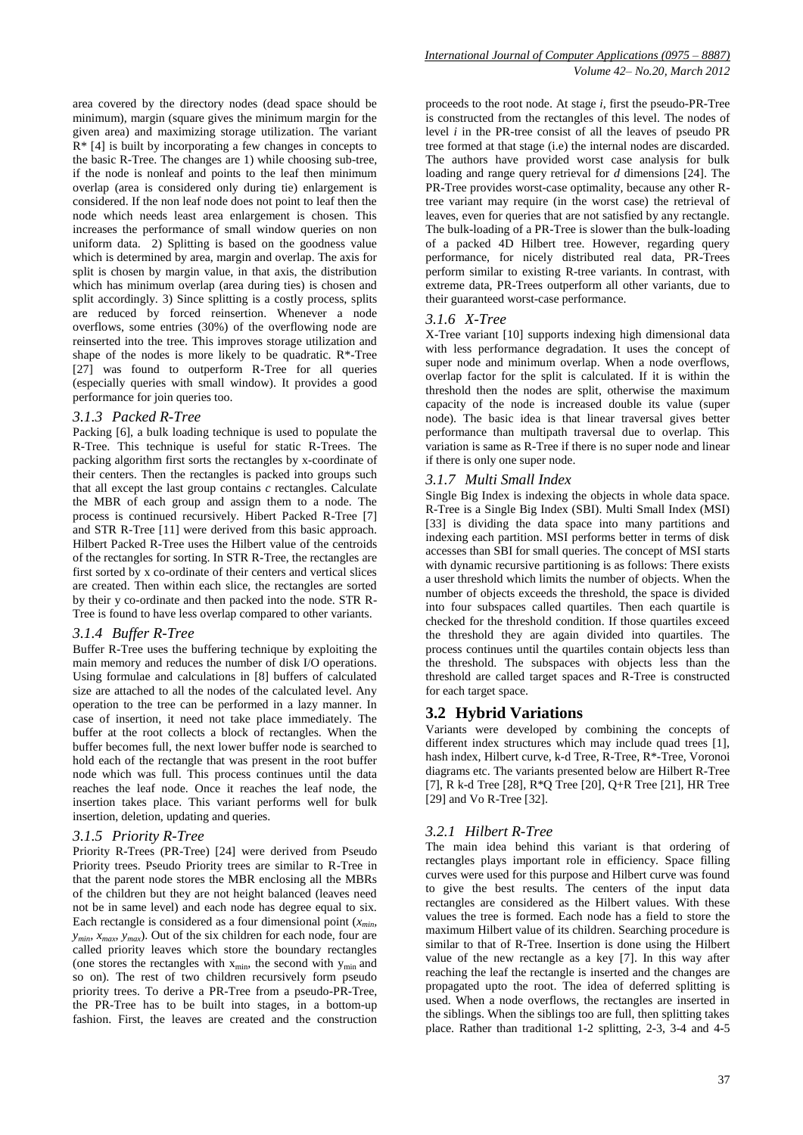area covered by the directory nodes (dead space should be minimum), margin (square gives the minimum margin for the given area) and maximizing storage utilization. The variant  $R^*$  [4] is built by incorporating a few changes in concepts to the basic R-Tree. The changes are 1) while choosing sub-tree, if the node is nonleaf and points to the leaf then minimum overlap (area is considered only during tie) enlargement is considered. If the non leaf node does not point to leaf then the node which needs least area enlargement is chosen. This increases the performance of small window queries on non uniform data. 2) Splitting is based on the goodness value which is determined by area, margin and overlap. The axis for split is chosen by margin value, in that axis, the distribution which has minimum overlap (area during ties) is chosen and split accordingly. 3) Since splitting is a costly process, splits are reduced by forced reinsertion. Whenever a node overflows, some entries (30%) of the overflowing node are reinserted into the tree. This improves storage utilization and shape of the nodes is more likely to be quadratic. R\*-Tree [27] was found to outperform R-Tree for all queries (especially queries with small window). It provides a good performance for join queries too.

#### *3.1.3 Packed R-Tree*

Packing [6], a bulk loading technique is used to populate the R-Tree. This technique is useful for static R-Trees. The packing algorithm first sorts the rectangles by x-coordinate of their centers. Then the rectangles is packed into groups such that all except the last group contains *c* rectangles. Calculate the MBR of each group and assign them to a node. The process is continued recursively. Hibert Packed R-Tree [7] and STR R-Tree [11] were derived from this basic approach. Hilbert Packed R-Tree uses the Hilbert value of the centroids of the rectangles for sorting. In STR R-Tree, the rectangles are first sorted by x co-ordinate of their centers and vertical slices are created. Then within each slice, the rectangles are sorted by their y co-ordinate and then packed into the node. STR R-Tree is found to have less overlap compared to other variants.

### *3.1.4 Buffer R-Tree*

Buffer R-Tree uses the buffering technique by exploiting the main memory and reduces the number of disk I/O operations. Using formulae and calculations in [8] buffers of calculated size are attached to all the nodes of the calculated level. Any operation to the tree can be performed in a lazy manner. In case of insertion, it need not take place immediately. The buffer at the root collects a block of rectangles. When the buffer becomes full, the next lower buffer node is searched to hold each of the rectangle that was present in the root buffer node which was full. This process continues until the data reaches the leaf node. Once it reaches the leaf node, the insertion takes place. This variant performs well for bulk insertion, deletion, updating and queries.

### *3.1.5 Priority R-Tree*

Priority R-Trees (PR-Tree) [24] were derived from Pseudo Priority trees. Pseudo Priority trees are similar to R-Tree in that the parent node stores the MBR enclosing all the MBRs of the children but they are not height balanced (leaves need not be in same level) and each node has degree equal to six. Each rectangle is considered as a four dimensional point  $(x_{min})$  $y_{min}$ ,  $x_{max}$ ,  $y_{max}$ ). Out of the six children for each node, four are called priority leaves which store the boundary rectangles (one stores the rectangles with  $x_{min}$ , the second with  $y_{min}$  and so on). The rest of two children recursively form pseudo priority trees. To derive a PR-Tree from a pseudo-PR-Tree, the PR-Tree has to be built into stages, in a bottom-up fashion. First, the leaves are created and the construction

proceeds to the root node. At stage *i*, first the pseudo-PR-Tree is constructed from the rectangles of this level. The nodes of level *i* in the PR-tree consist of all the leaves of pseudo PR tree formed at that stage (i.e) the internal nodes are discarded. The authors have provided worst case analysis for bulk loading and range query retrieval for *d* dimensions [24]. The PR-Tree provides worst-case optimality, because any other Rtree variant may require (in the worst case) the retrieval of leaves, even for queries that are not satisfied by any rectangle. The bulk-loading of a PR-Tree is slower than the bulk-loading of a packed 4D Hilbert tree. However, regarding query performance, for nicely distributed real data, PR-Trees perform similar to existing R-tree variants. In contrast, with extreme data, PR-Trees outperform all other variants, due to their guaranteed worst-case performance.

### *3.1.6 X-Tree*

X-Tree variant [10] supports indexing high dimensional data with less performance degradation. It uses the concept of super node and minimum overlap. When a node overflows, overlap factor for the split is calculated. If it is within the threshold then the nodes are split, otherwise the maximum capacity of the node is increased double its value (super node). The basic idea is that linear traversal gives better performance than multipath traversal due to overlap. This variation is same as R-Tree if there is no super node and linear if there is only one super node.

### *3.1.7 Multi Small Index*

Single Big Index is indexing the objects in whole data space. R-Tree is a Single Big Index (SBI). Multi Small Index (MSI) [33] is dividing the data space into many partitions and indexing each partition. MSI performs better in terms of disk accesses than SBI for small queries. The concept of MSI starts with dynamic recursive partitioning is as follows: There exists a user threshold which limits the number of objects. When the number of objects exceeds the threshold, the space is divided into four subspaces called quartiles. Then each quartile is checked for the threshold condition. If those quartiles exceed the threshold they are again divided into quartiles. The process continues until the quartiles contain objects less than the threshold. The subspaces with objects less than the threshold are called target spaces and R-Tree is constructed for each target space.

### **3.2 Hybrid Variations**

Variants were developed by combining the concepts of different index structures which may include quad trees [1], hash index, Hilbert curve, k-d Tree, R-Tree, R\*-Tree, Voronoi diagrams etc. The variants presented below are Hilbert R-Tree [7], R k-d Tree [28], R\*Q Tree [20], Q+R Tree [21], HR Tree [29] and Vo R-Tree [32].

### *3.2.1 Hilbert R-Tree*

The main idea behind this variant is that ordering of rectangles plays important role in efficiency. Space filling curves were used for this purpose and Hilbert curve was found to give the best results. The centers of the input data rectangles are considered as the Hilbert values. With these values the tree is formed. Each node has a field to store the maximum Hilbert value of its children. Searching procedure is similar to that of R-Tree. Insertion is done using the Hilbert value of the new rectangle as a key [7]. In this way after reaching the leaf the rectangle is inserted and the changes are propagated upto the root. The idea of deferred splitting is used. When a node overflows, the rectangles are inserted in the siblings. When the siblings too are full, then splitting takes place. Rather than traditional 1-2 splitting, 2-3, 3-4 and 4-5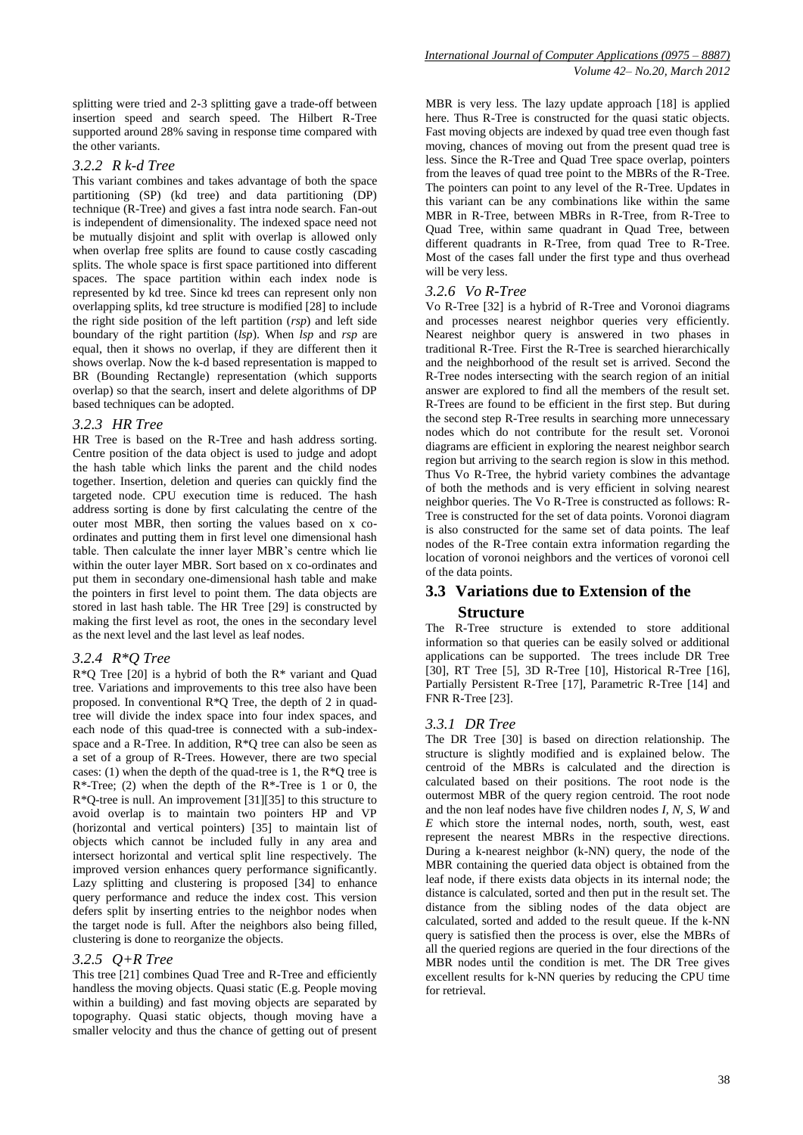splitting were tried and 2-3 splitting gave a trade-off between insertion speed and search speed. The Hilbert R-Tree supported around 28% saving in response time compared with the other variants.

#### *3.2.2 R k-d Tree*

This variant combines and takes advantage of both the space partitioning (SP) (kd tree) and data partitioning (DP) technique (R-Tree) and gives a fast intra node search. Fan-out is independent of dimensionality. The indexed space need not be mutually disjoint and split with overlap is allowed only when overlap free splits are found to cause costly cascading splits. The whole space is first space partitioned into different spaces. The space partition within each index node is represented by kd tree. Since kd trees can represent only non overlapping splits, kd tree structure is modified [28] to include the right side position of the left partition (*rsp*) and left side boundary of the right partition (*lsp*). When *lsp* and *rsp* are equal, then it shows no overlap, if they are different then it shows overlap. Now the k-d based representation is mapped to BR (Bounding Rectangle) representation (which supports overlap) so that the search, insert and delete algorithms of DP based techniques can be adopted.

#### *3.2.3 HR Tree*

HR Tree is based on the R-Tree and hash address sorting. Centre position of the data object is used to judge and adopt the hash table which links the parent and the child nodes together. Insertion, deletion and queries can quickly find the targeted node. CPU execution time is reduced. The hash address sorting is done by first calculating the centre of the outer most MBR, then sorting the values based on x coordinates and putting them in first level one dimensional hash table. Then calculate the inner layer MBR's centre which lie within the outer layer MBR. Sort based on x co-ordinates and put them in secondary one-dimensional hash table and make the pointers in first level to point them. The data objects are stored in last hash table. The HR Tree [29] is constructed by making the first level as root, the ones in the secondary level as the next level and the last level as leaf nodes.

#### *3.2.4 R\*Q Tree*

 $R*Q$  Tree [20] is a hybrid of both the  $R*$  variant and Quad tree. Variations and improvements to this tree also have been proposed. In conventional R\*Q Tree, the depth of 2 in quadtree will divide the index space into four index spaces, and each node of this quad-tree is connected with a sub-indexspace and a R-Tree. In addition, R\*Q tree can also be seen as a set of a group of R-Trees. However, there are two special cases: (1) when the depth of the quad-tree is 1, the R\*Q tree is  $R^*$ -Tree; (2) when the depth of the  $R^*$ -Tree is 1 or 0, the R\*Q-tree is null. An improvement [31][35] to this structure to avoid overlap is to maintain two pointers HP and VP (horizontal and vertical pointers) [35] to maintain list of objects which cannot be included fully in any area and intersect horizontal and vertical split line respectively. The improved version enhances query performance significantly. Lazy splitting and clustering is proposed [34] to enhance query performance and reduce the index cost. This version defers split by inserting entries to the neighbor nodes when the target node is full. After the neighbors also being filled, clustering is done to reorganize the objects.

#### *3.2.5 Q+R Tree*

This tree [21] combines Quad Tree and R-Tree and efficiently handless the moving objects. Quasi static (E.g. People moving within a building) and fast moving objects are separated by topography. Quasi static objects, though moving have a smaller velocity and thus the chance of getting out of present MBR is very less. The lazy update approach [18] is applied here. Thus R-Tree is constructed for the quasi static objects. Fast moving objects are indexed by quad tree even though fast moving, chances of moving out from the present quad tree is less. Since the R-Tree and Quad Tree space overlap, pointers from the leaves of quad tree point to the MBRs of the R-Tree. The pointers can point to any level of the R-Tree. Updates in this variant can be any combinations like within the same MBR in R-Tree, between MBRs in R-Tree, from R-Tree to Quad Tree, within same quadrant in Quad Tree, between different quadrants in R-Tree, from quad Tree to R-Tree. Most of the cases fall under the first type and thus overhead will be very less.

### *3.2.6 Vo R-Tree*

Vo R-Tree [32] is a hybrid of R-Tree and Voronoi diagrams and processes nearest neighbor queries very efficiently. Nearest neighbor query is answered in two phases in traditional R-Tree. First the R-Tree is searched hierarchically and the neighborhood of the result set is arrived. Second the R-Tree nodes intersecting with the search region of an initial answer are explored to find all the members of the result set. R-Trees are found to be efficient in the first step. But during the second step R-Tree results in searching more unnecessary nodes which do not contribute for the result set. Voronoi diagrams are efficient in exploring the nearest neighbor search region but arriving to the search region is slow in this method. Thus Vo R-Tree, the hybrid variety combines the advantage of both the methods and is very efficient in solving nearest neighbor queries. The Vo R-Tree is constructed as follows: R-Tree is constructed for the set of data points. Voronoi diagram is also constructed for the same set of data points. The leaf nodes of the R-Tree contain extra information regarding the location of voronoi neighbors and the vertices of voronoi cell of the data points.

### **3.3 Variations due to Extension of the Structure**

The R-Tree structure is extended to store additional information so that queries can be easily solved or additional applications can be supported. The trees include DR Tree [30], RT Tree [5], 3D R-Tree [10], Historical R-Tree [16], Partially Persistent R-Tree [17], Parametric R-Tree [14] and FNR R-Tree [23].

### *3.3.1 DR Tree*

The DR Tree [30] is based on direction relationship. The structure is slightly modified and is explained below. The centroid of the MBRs is calculated and the direction is calculated based on their positions. The root node is the outermost MBR of the query region centroid. The root node and the non leaf nodes have five children nodes *I, N, S, W* and *E* which store the internal nodes, north, south, west, east represent the nearest MBRs in the respective directions. During a k-nearest neighbor (k-NN) query, the node of the MBR containing the queried data object is obtained from the leaf node, if there exists data objects in its internal node; the distance is calculated, sorted and then put in the result set. The distance from the sibling nodes of the data object are calculated, sorted and added to the result queue. If the k-NN query is satisfied then the process is over, else the MBRs of all the queried regions are queried in the four directions of the MBR nodes until the condition is met. The DR Tree gives excellent results for k-NN queries by reducing the CPU time for retrieval.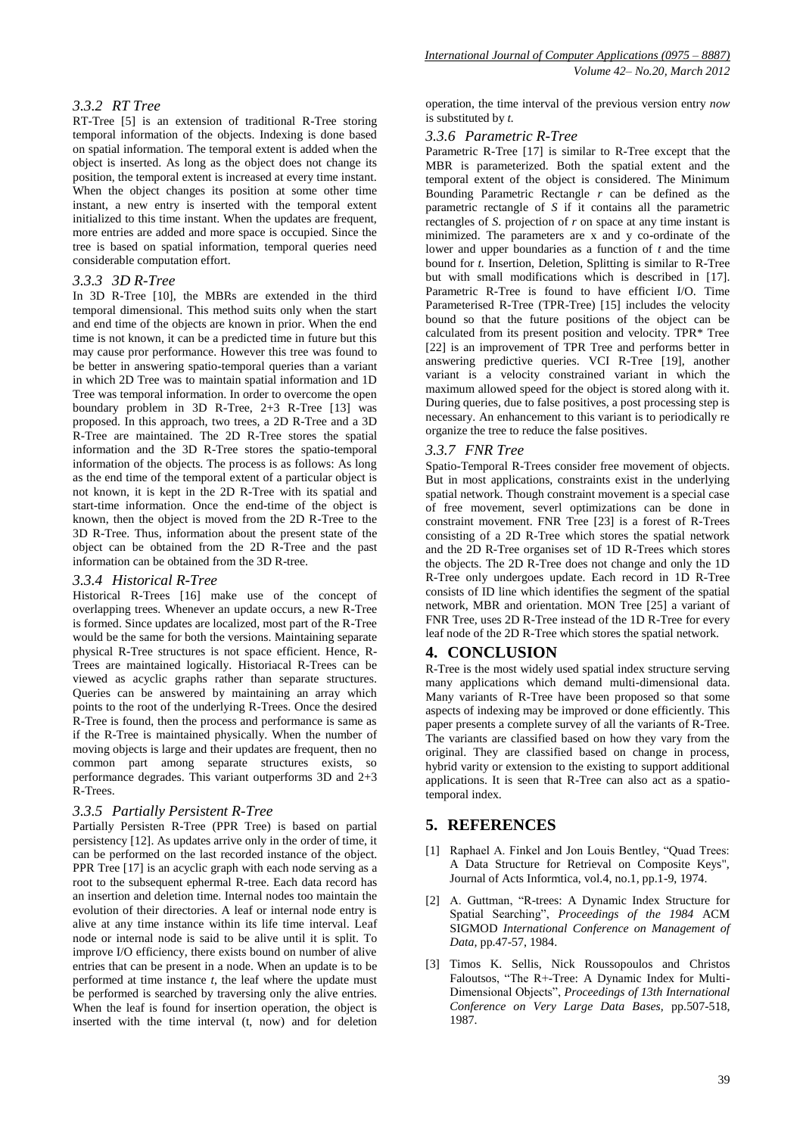### *3.3.2 RT Tree*

RT-Tree [5] is an extension of traditional R-Tree storing temporal information of the objects. Indexing is done based on spatial information. The temporal extent is added when the object is inserted. As long as the object does not change its position, the temporal extent is increased at every time instant. When the object changes its position at some other time instant, a new entry is inserted with the temporal extent initialized to this time instant. When the updates are frequent, more entries are added and more space is occupied. Since the tree is based on spatial information, temporal queries need considerable computation effort.

#### *3.3.3 3D R-Tree*

In 3D R-Tree [10], the MBRs are extended in the third temporal dimensional. This method suits only when the start and end time of the objects are known in prior. When the end time is not known, it can be a predicted time in future but this may cause pror performance. However this tree was found to be better in answering spatio-temporal queries than a variant in which 2D Tree was to maintain spatial information and 1D Tree was temporal information. In order to overcome the open boundary problem in 3D R-Tree, 2+3 R-Tree [13] was proposed. In this approach, two trees, a 2D R-Tree and a 3D R-Tree are maintained. The 2D R-Tree stores the spatial information and the 3D R-Tree stores the spatio-temporal information of the objects. The process is as follows: As long as the end time of the temporal extent of a particular object is not known, it is kept in the 2D R-Tree with its spatial and start-time information. Once the end-time of the object is known, then the object is moved from the 2D R-Tree to the 3D R-Tree. Thus, information about the present state of the object can be obtained from the 2D R-Tree and the past information can be obtained from the 3D R-tree.

### *3.3.4 Historical R-Tree*

Historical R-Trees [16] make use of the concept of overlapping trees. Whenever an update occurs, a new R-Tree is formed. Since updates are localized, most part of the R-Tree would be the same for both the versions. Maintaining separate physical R-Tree structures is not space efficient. Hence, R-Trees are maintained logically. Historiacal R-Trees can be viewed as acyclic graphs rather than separate structures. Queries can be answered by maintaining an array which points to the root of the underlying R-Trees. Once the desired R-Tree is found, then the process and performance is same as if the R-Tree is maintained physically. When the number of moving objects is large and their updates are frequent, then no common part among separate structures exists, so performance degrades. This variant outperforms 3D and 2+3 R-Trees.

### *3.3.5 Partially Persistent R-Tree*

Partially Persisten R-Tree (PPR Tree) is based on partial persistency [12]. As updates arrive only in the order of time, it can be performed on the last recorded instance of the object. PPR Tree [17] is an acyclic graph with each node serving as a root to the subsequent ephermal R-tree. Each data record has an insertion and deletion time. Internal nodes too maintain the evolution of their directories. A leaf or internal node entry is alive at any time instance within its life time interval. Leaf node or internal node is said to be alive until it is split. To improve I/O efficiency, there exists bound on number of alive entries that can be present in a node. When an update is to be performed at time instance *t*, the leaf where the update must be performed is searched by traversing only the alive entries. When the leaf is found for insertion operation, the object is inserted with the time interval (t, now) and for deletion

operation, the time interval of the previous version entry *now* is substituted by *t.*

#### *3.3.6 Parametric R-Tree*

Parametric R-Tree [17] is similar to R-Tree except that the MBR is parameterized. Both the spatial extent and the temporal extent of the object is considered. The Minimum Bounding Parametric Rectangle *r* can be defined as the parametric rectangle of *S* if it contains all the parametric rectangles of *S*. projection of *r* on space at any time instant is minimized. The parameters are x and y co-ordinate of the lower and upper boundaries as a function of *t* and the time bound for *t.* Insertion, Deletion, Splitting is similar to R-Tree but with small modifications which is described in [17]. Parametric R-Tree is found to have efficient I/O. Time Parameterised R-Tree (TPR-Tree) [15] includes the velocity bound so that the future positions of the object can be calculated from its present position and velocity. TPR\* Tree [22] is an improvement of TPR Tree and performs better in answering predictive queries. VCI R-Tree [19], another variant is a velocity constrained variant in which the maximum allowed speed for the object is stored along with it. During queries, due to false positives, a post processing step is necessary. An enhancement to this variant is to periodically re organize the tree to reduce the false positives.

### *3.3.7 FNR Tree*

Spatio-Temporal R-Trees consider free movement of objects. But in most applications, constraints exist in the underlying spatial network. Though constraint movement is a special case of free movement, severl optimizations can be done in constraint movement. FNR Tree [23] is a forest of R-Trees consisting of a 2D R-Tree which stores the spatial network and the 2D R-Tree organises set of 1D R-Trees which stores the objects. The 2D R-Tree does not change and only the 1D R-Tree only undergoes update. Each record in 1D R-Tree consists of ID line which identifies the segment of the spatial network, MBR and orientation. MON Tree [25] a variant of FNR Tree, uses 2D R-Tree instead of the 1D R-Tree for every leaf node of the 2D R-Tree which stores the spatial network.

### **4. CONCLUSION**

R-Tree is the most widely used spatial index structure serving many applications which demand multi-dimensional data. Many variants of R-Tree have been proposed so that some aspects of indexing may be improved or done efficiently. This paper presents a complete survey of all the variants of R-Tree. The variants are classified based on how they vary from the original. They are classified based on change in process, hybrid varity or extension to the existing to support additional applications. It is seen that R-Tree can also act as a spatiotemporal index.

### **5. REFERENCES**

- [1] Raphael A. Finkel and Jon Louis Bentley, "Quad Trees: A Data Structure for Retrieval on Composite Keys", Journal of Acts Informtica, vol.4, no.1, pp.1-9, 1974.
- [2] A. Guttman, "R-trees: A Dynamic Index Structure for Spatial Searching", Proceedings of the 1984 ACM SIGMOD *International Conference on Management of Data,* pp.47-57, 1984.
- [3] Timos K. Sellis, Nick Roussopoulos and Christos Faloutsos, "The R+-Tree: A Dynamic Index for Multi-Dimensional Objects‖, *Proceedings of 13th International Conference on Very Large Data Bases,* pp.507-518, 1987.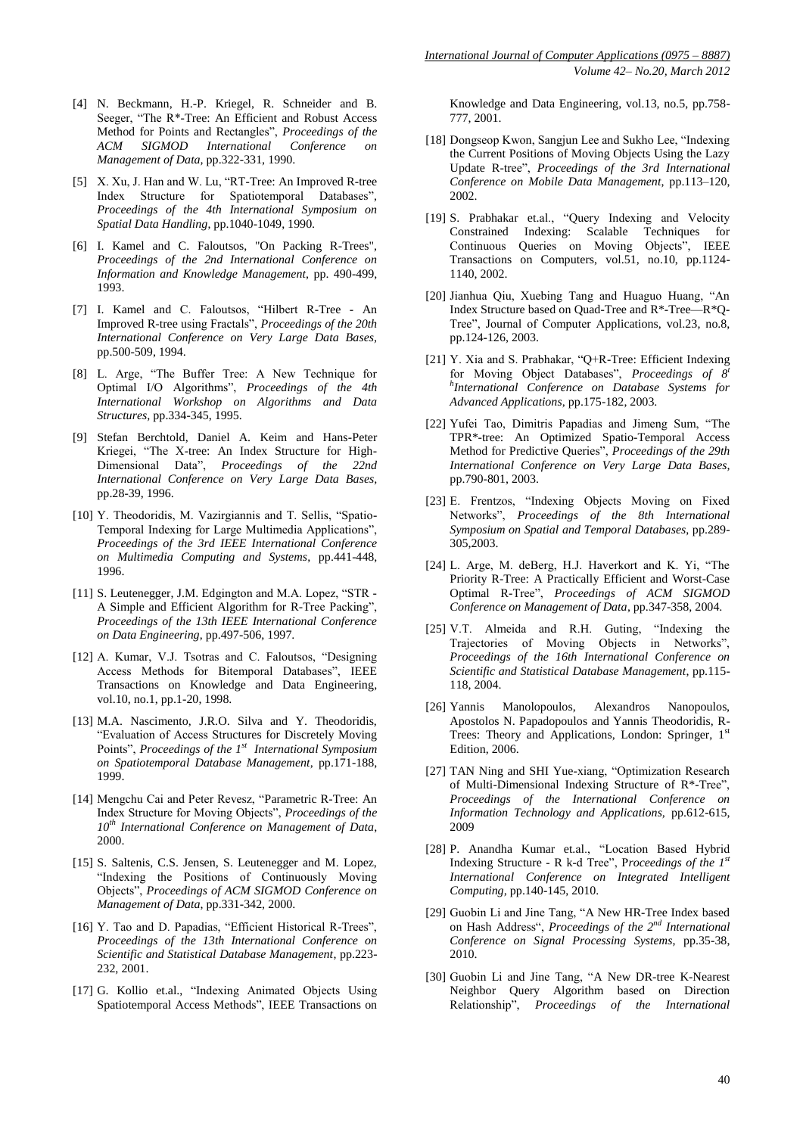- [4] N. Beckmann, H.-P. Kriegel, R. Schneider and B. Seeger, "The  $R^*$ -Tree: An Efficient and Robust Access Method for Points and Rectangles", Proceedings of the *ACM SIGMOD International Conference on Management of Data,* pp.322-331, 1990.
- [5] X. Xu, J. Han and W. Lu, "RT-Tree: An Improved R-tree Index Structure for Spatiotemporal Databases", *Proceedings of the 4th International Symposium on Spatial Data Handling*, pp.1040-1049, 1990.
- [6] I. Kamel and C. Faloutsos, "On Packing R-Trees", *Proceedings of the 2nd International Conference on Information and Knowledge Management*, pp. 490-499, 1993.
- [7] I. Kamel and C. Faloutsos, "Hilbert R-Tree An Improved R-tree using Fractals", Proceedings of the 20th *International Conference on Very Large Data Bases,*  pp.500-509, 1994.
- [8] L. Arge, "The Buffer Tree: A New Technique for Optimal I/O Algorithms‖, *Proceedings of the 4th International Workshop on Algorithms and Data Structures,* pp.334-345, 1995.
- [9] Stefan Berchtold, Daniel A. Keim and Hans-Peter Kriegei, "The X-tree: An Index Structure for High-Dimensional Data", *Proceedings of the 22nd International Conference on Very Large Data Bases,*  pp.28-39, 1996.
- [10] Y. Theodoridis, M. Vazirgiannis and T. Sellis, "Spatio-Temporal Indexing for Large Multimedia Applications", *Proceedings of the 3rd IEEE International Conference on Multimedia Computing and Systems*, pp.441-448, 1996.
- [11] S. Leutenegger, J.M. Edgington and M.A. Lopez, "STR -A Simple and Efficient Algorithm for R-Tree Packing", *Proceedings of the 13th IEEE International Conference on Data Engineering*, pp.497-506, 1997.
- [12] A. Kumar, V.J. Tsotras and C. Faloutsos, "Designing Access Methods for Bitemporal Databases", IEEE Transactions on Knowledge and Data Engineering, vol.10, no.1, pp.1-20, 1998.
- [13] M.A. Nascimento, J.R.O. Silva and Y. Theodoridis, ―Evaluation of Access Structures for Discretely Moving Points", Proceedings of the 1<sup>st</sup> International Symposium *on Spatiotemporal Database Management*, pp.171-188, 1999.
- [14] Mengchu Cai and Peter Revesz, "Parametric R-Tree: An Index Structure for Moving Objects", *Proceedings of the 10th International Conference on Management of Data*, 2000.
- [15] S. Saltenis, C.S. Jensen, S. Leutenegger and M. Lopez, "Indexing the Positions of Continuously Moving Objects‖, *Proceedings of ACM SIGMOD Conference on Management of Data*, pp.331-342, 2000.
- [16] Y. Tao and D. Papadias, "Efficient Historical R-Trees", *Proceedings of the 13th International Conference on Scientific and Statistical Database Management*, pp.223- 232, 2001.
- [17] G. Kollio et.al., "Indexing Animated Objects Using Spatiotemporal Access Methods", IEEE Transactions on

Knowledge and Data Engineering, vol.13, no.5, pp.758- 777, 2001.

- [18] Dongseop Kwon, Sangjun Lee and Sukho Lee, "Indexing the Current Positions of Moving Objects Using the Lazy Update R-tree‖, *Proceedings of the 3rd International Conference on Mobile Data Management*, pp.113–120, 2002.
- [19] S. Prabhakar et.al., "Query Indexing and Velocity Constrained Indexing: Scalable Techniques for Continuous Queries on Moving Objects", IEEE Transactions on Computers, vol.51, no.10, pp.1124- 1140, 2002.
- [20] Jianhua Qiu, Xuebing Tang and Huaguo Huang, "An Index Structure based on Quad-Tree and R\*-Tree—R\*Q-Tree", Journal of Computer Applications, vol.23, no.8, pp.124-126, 2003.
- [21] Y. Xia and S. Prabhakar, "Q+R-Tree: Efficient Indexing for Moving Object Databases", Proceedings of  $8<sup>t</sup>$ *h International Conference on Database Systems for Advanced Applications*, pp.175-182, 2003.
- [22] Yufei Tao, Dimitris Papadias and Jimeng Sum, "The TPR\*-tree: An Optimized Spatio-Temporal Access Method for Predictive Queries", Proceedings of the 29th *International Conference on Very Large Data Bases,* pp.790-801, 2003.
- [23] E. Frentzos, "Indexing Objects Moving on Fixed Networks‖, *Proceedings of the 8th International Symposium on Spatial and Temporal Databases*, pp.289- 305,2003.
- [24] L. Arge, M. deBerg, H.J. Haverkort and K. Yi, "The Priority R-Tree: A Practically Efficient and Worst-Case Optimal R-Tree", Proceedings of ACM SIGMOD *Conference on Management of Data*, pp.347-358, 2004.
- [25] V.T. Almeida and R.H. Guting, "Indexing the Trajectories of Moving Objects in Networks", *Proceedings of the 16th International Conference on Scientific and Statistical Database Management*, pp.115- 118, 2004.
- [26] Yannis Manolopoulos, Alexandros Nanopoulos, Apostolos N. Papadopoulos and Yannis Theodoridis, R-Trees: Theory and Applications, London: Springer, 1st Edition, 2006.
- [27] TAN Ning and SHI Yue-xiang, "Optimization Research of Multi-Dimensional Indexing Structure of  $R*-Tree$ , *Proceedings of the International Conference on Information Technology and Applications,* pp.612-615, 2009
- [28] P. Anandha Kumar et.al., "Location Based Hybrid Indexing Structure - R k-d Tree", Proceedings of the 1st *International Conference on Integrated Intelligent Computing,* pp.140-145, 2010.
- [29] Guobin Li and Jine Tang, "A New HR-Tree Index based on Hash Address―, *Proceedings of the 2nd International Conference on Signal Processing Systems*, pp.35-38, 2010.
- [30] Guobin Li and Jine Tang, "A New DR-tree K-Nearest Neighbor Query Algorithm based on Direction Relationship‖, *Proceedings of the International*